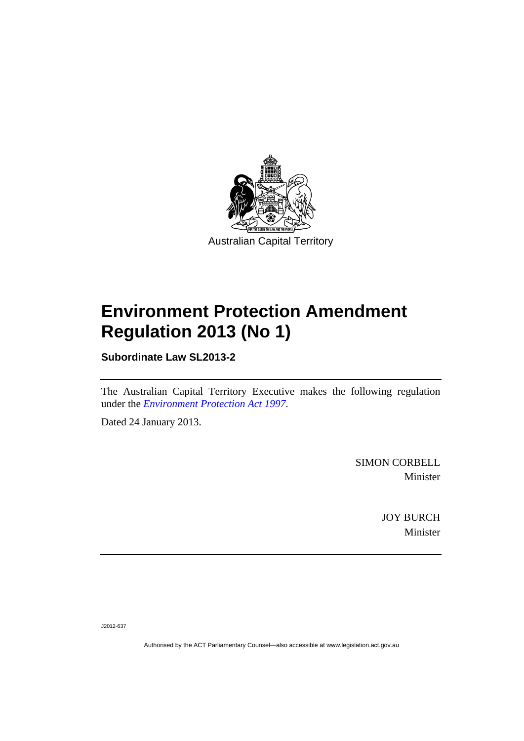

# **Environment Protection Amendment Regulation 2013 (No 1)**

**Subordinate Law SL2013-2** 

The Australian Capital Territory Executive makes the following regulation under the *[Environment Protection Act 1997](http://www.legislation.act.gov.au/a/1997-92)*.

Dated 24 January 2013.

SIMON CORBELL Minister

> JOY BURCH Minister

J2012-637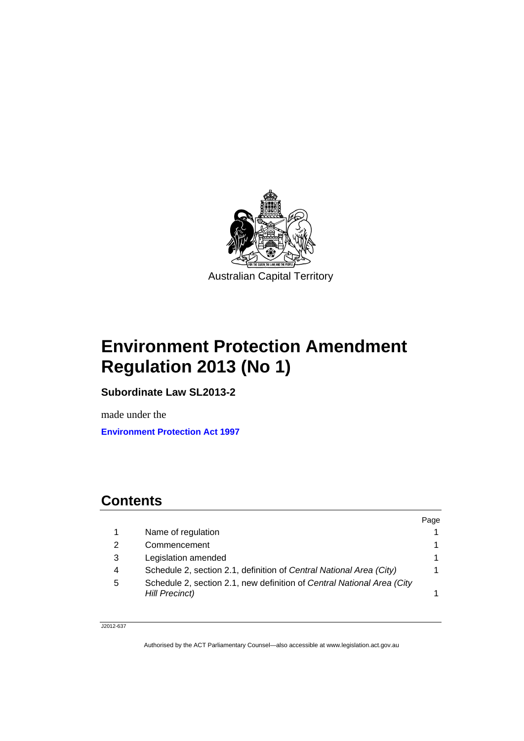

# **Environment Protection Amendment Regulation 2013 (No 1)**

**Subordinate Law SL2013-2** 

made under the **[Environment Protection Act 1997](http://www.legislation.act.gov.au/a/1997-92/default.asp)**

# **Contents**

|   |                                                                                          | Page |
|---|------------------------------------------------------------------------------------------|------|
|   | Name of regulation                                                                       |      |
| 2 | Commencement                                                                             |      |
| 3 | Legislation amended                                                                      |      |
| 4 | Schedule 2, section 2.1, definition of Central National Area (City)                      |      |
| 5 | Schedule 2, section 2.1, new definition of Central National Area (City<br>Hill Precinct) |      |

J2012-637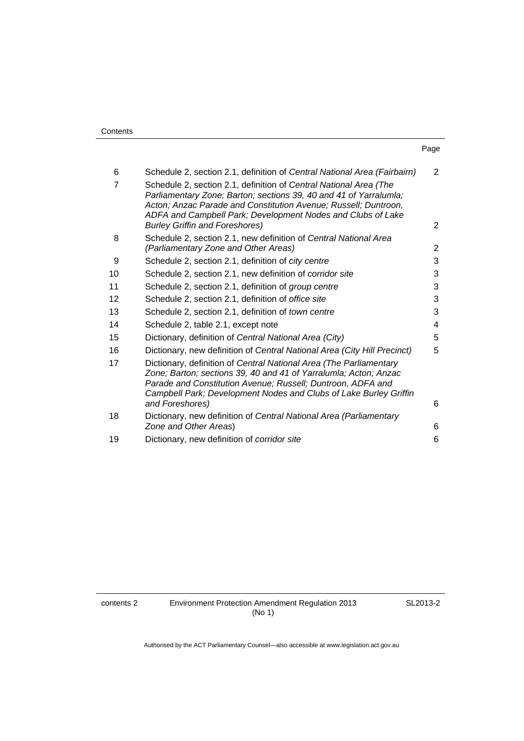| . .<br>× | ۰. |
|----------|----|

| 6              | Schedule 2, section 2.1, definition of Central National Area (Fairbairn)                                                                                                                                                                                                                                          | $\overline{2}$ |
|----------------|-------------------------------------------------------------------------------------------------------------------------------------------------------------------------------------------------------------------------------------------------------------------------------------------------------------------|----------------|
| $\overline{7}$ | Schedule 2, section 2.1, definition of Central National Area (The<br>Parliamentary Zone; Barton; sections 39, 40 and 41 of Yarralumla;<br>Acton; Anzac Parade and Constitution Avenue; Russell; Duntroon,<br>ADFA and Campbell Park; Development Nodes and Clubs of Lake<br><b>Burley Griffin and Foreshores)</b> | $\overline{2}$ |
| 8              | Schedule 2, section 2.1, new definition of Central National Area<br>(Parliamentary Zone and Other Areas)                                                                                                                                                                                                          | $\overline{2}$ |
| 9              | Schedule 2, section 2.1, definition of city centre                                                                                                                                                                                                                                                                | 3              |
| 10             | Schedule 2, section 2.1, new definition of corridor site                                                                                                                                                                                                                                                          | 3              |
| 11             | Schedule 2, section 2.1, definition of group centre                                                                                                                                                                                                                                                               | 3              |
| 12             | Schedule 2, section 2.1, definition of office site                                                                                                                                                                                                                                                                | 3              |
| 13             | Schedule 2, section 2.1, definition of <i>town centre</i>                                                                                                                                                                                                                                                         | 3              |
| 14             | Schedule 2, table 2.1, except note                                                                                                                                                                                                                                                                                | 4              |
| 15             | Dictionary, definition of Central National Area (City)                                                                                                                                                                                                                                                            | 5              |
| 16             | Dictionary, new definition of Central National Area (City Hill Precinct)                                                                                                                                                                                                                                          | 5              |
| 17             | Dictionary, definition of Central National Area (The Parliamentary<br>Zone; Barton; sections 39, 40 and 41 of Yarralumla; Acton; Anzac<br>Parade and Constitution Avenue; Russell; Duntroon, ADFA and<br>Campbell Park; Development Nodes and Clubs of Lake Burley Griffin<br>and Foreshores)                     | 6              |
| 18             | Dictionary, new definition of Central National Area (Parliamentary<br>Zone and Other Areas)                                                                                                                                                                                                                       | 6              |
| 19             | Dictionary, new definition of corridor site                                                                                                                                                                                                                                                                       | 6              |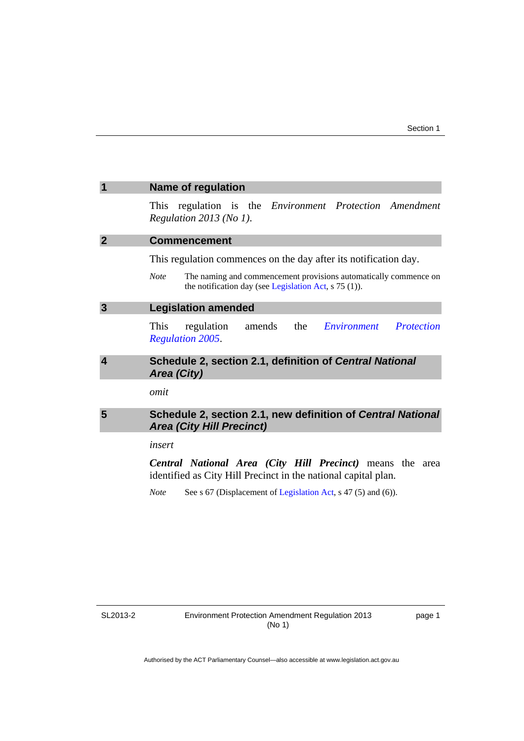<span id="page-4-2"></span><span id="page-4-1"></span><span id="page-4-0"></span>

|                | <b>Name of regulation</b>                                                                                                                  |  |  |
|----------------|--------------------------------------------------------------------------------------------------------------------------------------------|--|--|
|                | regulation is the <i>Environment</i> Protection Amendment<br><b>This</b>                                                                   |  |  |
|                | Regulation 2013 (No 1).                                                                                                                    |  |  |
| $\overline{2}$ | <b>Commencement</b>                                                                                                                        |  |  |
|                | This regulation commences on the day after its notification day.                                                                           |  |  |
|                | The naming and commencement provisions automatically commence on<br><b>Note</b><br>the notification day (see Legislation Act, $s$ 75 (1)). |  |  |
| 3              | <b>Legislation amended</b>                                                                                                                 |  |  |
|                | This<br>the<br>Environment<br>regulation<br>amends<br><i>Protection</i>                                                                    |  |  |
|                | <b>Regulation 2005.</b>                                                                                                                    |  |  |
| 4              | Schedule 2, section 2.1, definition of Central National<br>Area (City)                                                                     |  |  |
|                | omit                                                                                                                                       |  |  |
| 5              | Schedule 2, section 2.1, new definition of Central National<br><b>Area (City Hill Precinct)</b>                                            |  |  |
|                | insert                                                                                                                                     |  |  |
|                | <b>Central National Area (City Hill Precinct)</b> means the area<br>identified as City Hill Precinct in the national capital plan.         |  |  |

<span id="page-4-4"></span><span id="page-4-3"></span>*Note* See s 67 (Displacement of [Legislation Act,](http://www.legislation.act.gov.au/a/2001-14) s 47 (5) and (6)).

SL2013-2

page 1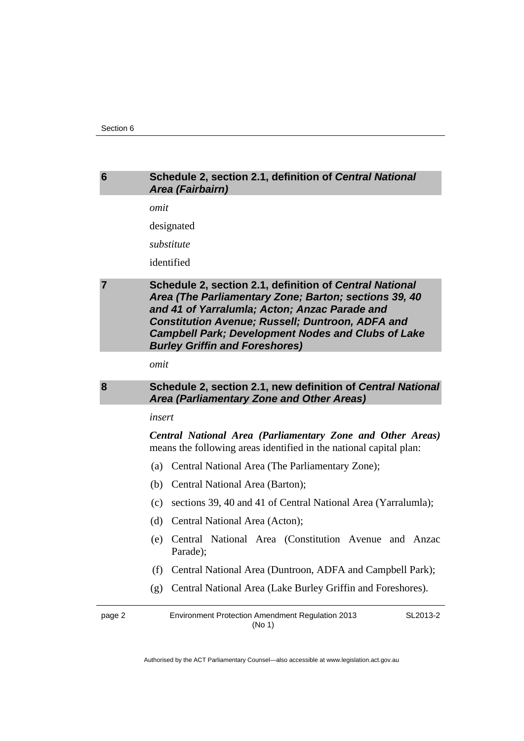# <span id="page-5-0"></span>**6 Schedule 2, section 2.1, definition of** *Central National Area (Fairbairn)*

*omit* 

designated

*substitute* 

identified

# <span id="page-5-1"></span>**7 Schedule 2, section 2.1, definition of** *Central National Area (The Parliamentary Zone; Barton; sections 39, 40 and 41 of Yarralumla; Acton; Anzac Parade and Constitution Avenue; Russell; Duntroon, ADFA and Campbell Park; Development Nodes and Clubs of Lake Burley Griffin and Foreshores)*

*omit* 

## <span id="page-5-2"></span>**8 Schedule 2, section 2.1, new definition of** *Central National Area (Parliamentary Zone and Other Areas)*

## *insert*

*Central National Area (Parliamentary Zone and Other Areas)*  means the following areas identified in the national capital plan:

- (a) Central National Area (The Parliamentary Zone);
- (b) Central National Area (Barton);
- (c) sections 39, 40 and 41 of Central National Area (Yarralumla);
- (d) Central National Area (Acton);
- (e) Central National Area (Constitution Avenue and Anzac Parade);
- (f) Central National Area (Duntroon, ADFA and Campbell Park);
- (g) Central National Area (Lake Burley Griffin and Foreshores).

page 2 Environment Protection Amendment Regulation 2013 (No 1) SL2013-2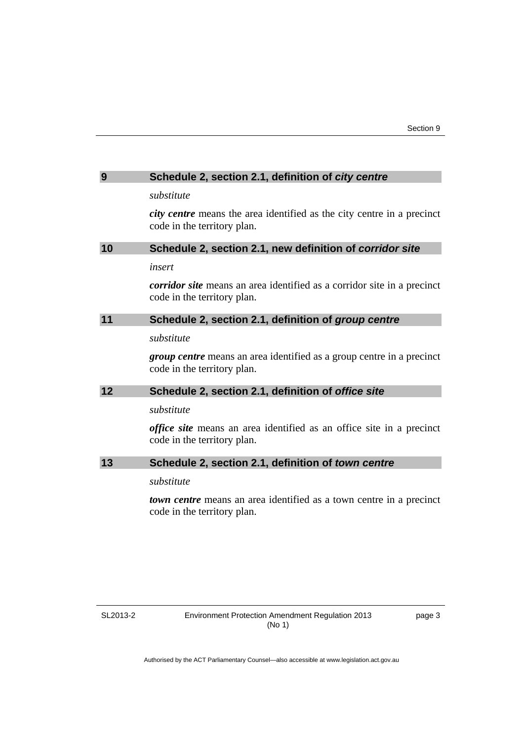<span id="page-6-3"></span><span id="page-6-2"></span><span id="page-6-1"></span><span id="page-6-0"></span>

| 9  | Schedule 2, section 2.1, definition of city centre                                                            |  |  |
|----|---------------------------------------------------------------------------------------------------------------|--|--|
|    | substitute                                                                                                    |  |  |
|    | city centre means the area identified as the city centre in a precinct<br>code in the territory plan.         |  |  |
| 10 | Schedule 2, section 2.1, new definition of corridor site                                                      |  |  |
|    | insert                                                                                                        |  |  |
|    | <i>corridor site</i> means an area identified as a corridor site in a precinct<br>code in the territory plan. |  |  |
| 11 | Schedule 2, section 2.1, definition of group centre                                                           |  |  |
|    | substitute                                                                                                    |  |  |
|    | <i>group centre</i> means an area identified as a group centre in a precinct<br>code in the territory plan.   |  |  |
| 12 | Schedule 2, section 2.1, definition of office site                                                            |  |  |
|    | substitute                                                                                                    |  |  |
|    | office site means an area identified as an office site in a precinct<br>code in the territory plan.           |  |  |
| 13 | Schedule 2, section 2.1, definition of town centre                                                            |  |  |
|    | substitute                                                                                                    |  |  |
|    | <b>town centre</b> means an area identified as a town centre in a precinct<br>code in the territory plan.     |  |  |

<span id="page-6-4"></span>SL2013-2

page 3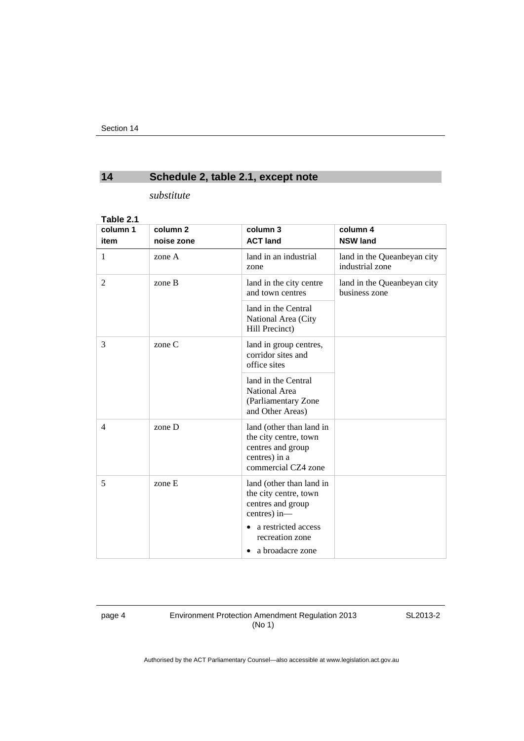# <span id="page-7-0"></span>**14 Schedule 2, table 2.1, except note**

*substitute* 

## **Table 2.1**

| column 1     | column <sub>2</sub> | column 3                                                                                                                                             | column 4                                       |
|--------------|---------------------|------------------------------------------------------------------------------------------------------------------------------------------------------|------------------------------------------------|
| item         | noise zone          | <b>ACT land</b>                                                                                                                                      | <b>NSW land</b>                                |
| $\mathbf{1}$ | zone A              | land in an industrial<br>zone                                                                                                                        | land in the Queanbeyan city<br>industrial zone |
| 2            | zone B              | land in the city centre<br>and town centres                                                                                                          | land in the Queanbeyan city<br>business zone   |
|              |                     | land in the Central<br>National Area (City<br>Hill Precinct)                                                                                         |                                                |
| 3            | zone C              | land in group centres,<br>corridor sites and<br>office sites                                                                                         |                                                |
|              |                     | land in the Central<br>National Area<br>(Parliamentary Zone<br>and Other Areas)                                                                      |                                                |
| 4            | zone D              | land (other than land in<br>the city centre, town<br>centres and group<br>centres) in a<br>commercial CZ4 zone                                       |                                                |
| 5            | zone E              | land (other than land in<br>the city centre, town<br>centres and group<br>centres) in-<br>a restricted access<br>recreation zone<br>a broadacre zone |                                                |

page 4 Environment Protection Amendment Regulation 2013 (No 1)

SL2013-2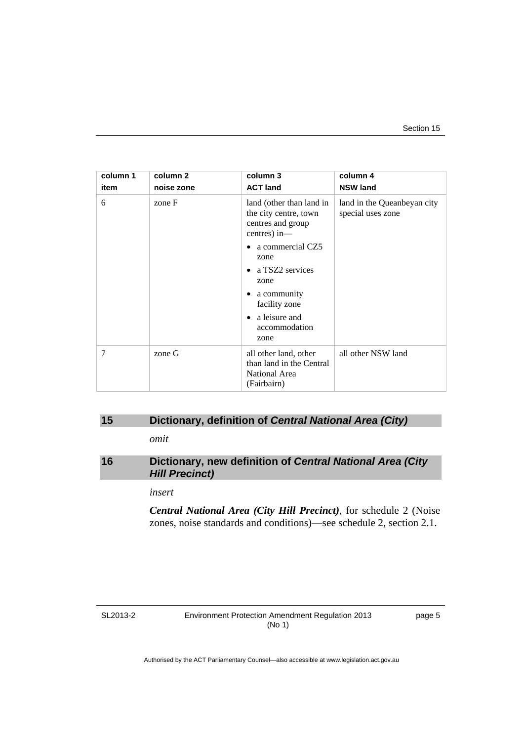| column 1<br>item | column 2<br>noise zone | column 3<br><b>ACT land</b>                                                            | column 4<br><b>NSW land</b>                      |
|------------------|------------------------|----------------------------------------------------------------------------------------|--------------------------------------------------|
| 6                | zone F                 | land (other than land in<br>the city centre, town<br>centres and group<br>centres) in- | land in the Queanbeyan city<br>special uses zone |
|                  |                        | a commercial CZ5<br>zone                                                               |                                                  |
|                  |                        | a TSZ2 services<br>٠<br>zone                                                           |                                                  |
|                  |                        | a community<br>٠<br>facility zone                                                      |                                                  |
|                  |                        | a leisure and<br>٠<br>accommodation<br>zone                                            |                                                  |
| 7                | zone G                 | all other land, other<br>than land in the Central<br>National Area<br>(Fairbairn)      | all other NSW land                               |

# <span id="page-8-0"></span>**15 Dictionary, definition of** *Central National Area (City)*

*omit* 

# <span id="page-8-1"></span>**16 Dictionary, new definition of** *Central National Area (City Hill Precinct)*

*insert* 

*Central National Area (City Hill Precinct)*, for schedule 2 (Noise zones, noise standards and conditions)—see schedule 2, section 2.1.

### SL2013-2

page 5